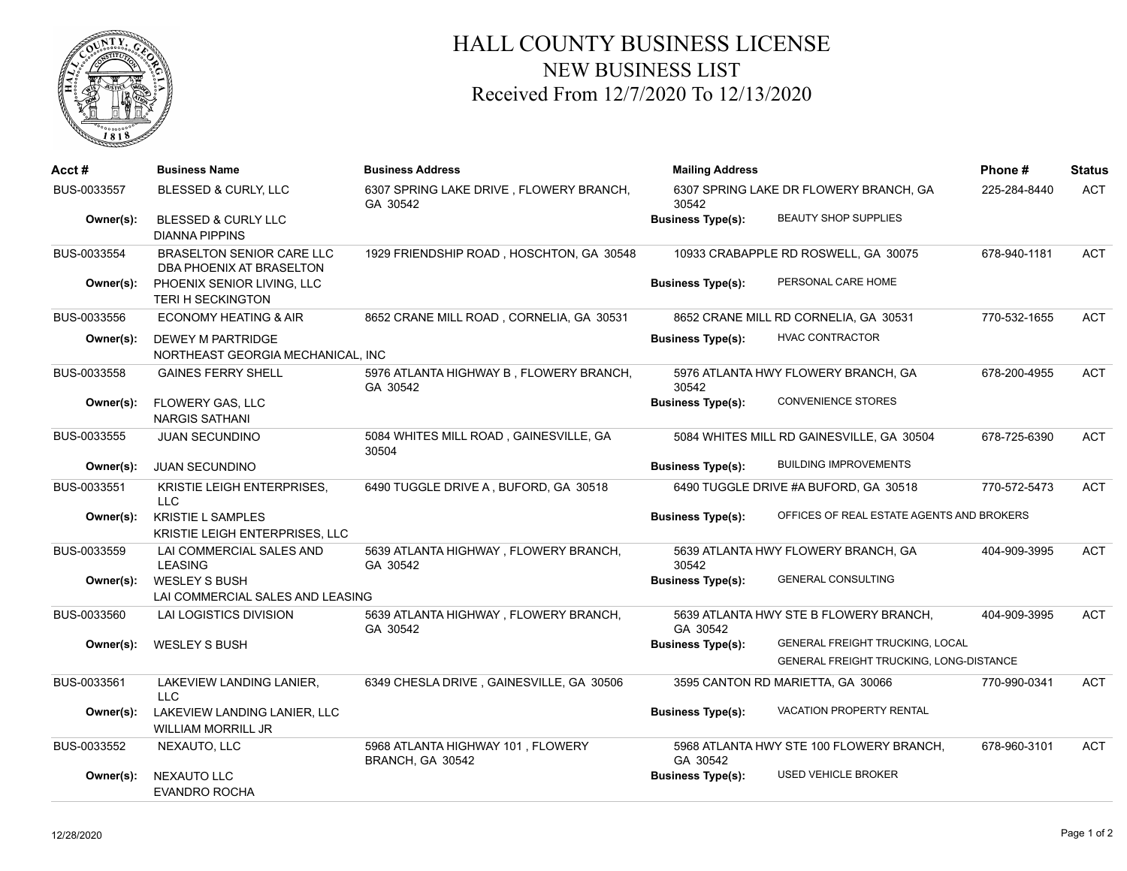

## HALL COUNTY BUSINESS LICENSE NEW BUSINESS LIST Received From 12/7/2020 To 12/13/2020

| Acct#       | <b>Business Name</b>                                          | <b>Business Address</b>                               | <b>Mailing Address</b>                          |                                                                                          | Phone#       | <b>Status</b> |
|-------------|---------------------------------------------------------------|-------------------------------------------------------|-------------------------------------------------|------------------------------------------------------------------------------------------|--------------|---------------|
| BUS-0033557 | BLESSED & CURLY, LLC                                          | 6307 SPRING LAKE DRIVE, FLOWERY BRANCH,<br>GA 30542   | 6307 SPRING LAKE DR FLOWERY BRANCH, GA<br>30542 |                                                                                          | 225-284-8440 | <b>ACT</b>    |
| Owner(s):   | <b>BLESSED &amp; CURLY LLC</b><br><b>DIANNA PIPPINS</b>       |                                                       | <b>Business Type(s):</b>                        | <b>BEAUTY SHOP SUPPLIES</b>                                                              |              |               |
| BUS-0033554 | <b>BRASELTON SENIOR CARE LLC</b><br>DBA PHOENIX AT BRASELTON  | 1929 FRIENDSHIP ROAD, HOSCHTON, GA 30548              |                                                 | 10933 CRABAPPLE RD ROSWELL, GA 30075                                                     | 678-940-1181 | <b>ACT</b>    |
| Owner(s):   | PHOENIX SENIOR LIVING, LLC<br><b>TERI H SECKINGTON</b>        |                                                       | <b>Business Type(s):</b>                        | PERSONAL CARE HOME                                                                       |              |               |
| BUS-0033556 | ECONOMY HEATING & AIR                                         | 8652 CRANE MILL ROAD, CORNELIA, GA 30531              |                                                 | 8652 CRANE MILL RD CORNELIA, GA 30531                                                    | 770-532-1655 | <b>ACT</b>    |
| Owner(s):   | <b>DEWEY M PARTRIDGE</b><br>NORTHEAST GEORGIA MECHANICAL. INC |                                                       | <b>Business Type(s):</b>                        | <b>HVAC CONTRACTOR</b>                                                                   |              |               |
| BUS-0033558 | <b>GAINES FERRY SHELL</b>                                     | 5976 ATLANTA HIGHWAY B, FLOWERY BRANCH,<br>GA 30542   | 30542                                           | 5976 ATLANTA HWY FLOWERY BRANCH, GA                                                      | 678-200-4955 | <b>ACT</b>    |
| Owner(s):   | FLOWERY GAS, LLC<br><b>NARGIS SATHANI</b>                     |                                                       | <b>Business Type(s):</b>                        | <b>CONVENIENCE STORES</b>                                                                |              |               |
| BUS-0033555 | <b>JUAN SECUNDINO</b>                                         | 5084 WHITES MILL ROAD, GAINESVILLE, GA<br>30504       |                                                 | 5084 WHITES MILL RD GAINESVILLE, GA 30504                                                | 678-725-6390 | <b>ACT</b>    |
| Owner(s):   | <b>JUAN SECUNDINO</b>                                         |                                                       | <b>Business Type(s):</b>                        | <b>BUILDING IMPROVEMENTS</b>                                                             |              |               |
| BUS-0033551 | <b>KRISTIE LEIGH ENTERPRISES,</b><br><b>LLC</b>               | 6490 TUGGLE DRIVE A, BUFORD, GA 30518                 |                                                 | 6490 TUGGLE DRIVE #A BUFORD, GA 30518                                                    | 770-572-5473 | <b>ACT</b>    |
| Owner(s):   | <b>KRISTIE L SAMPLES</b><br>KRISTIE LEIGH ENTERPRISES, LLC    |                                                       | <b>Business Type(s):</b>                        | OFFICES OF REAL ESTATE AGENTS AND BROKERS                                                |              |               |
| BUS-0033559 | LAI COMMERCIAL SALES AND<br><b>LEASING</b>                    | 5639 ATLANTA HIGHWAY, FLOWERY BRANCH,<br>GA 30542     | 30542                                           | 5639 ATLANTA HWY FLOWERY BRANCH, GA                                                      | 404-909-3995 | <b>ACT</b>    |
| Owner(s):   | <b>WESLEY S BUSH</b><br>LAI COMMERCIAL SALES AND LEASING      |                                                       | <b>Business Type(s):</b>                        | <b>GENERAL CONSULTING</b>                                                                |              |               |
| BUS-0033560 | LAI LOGISTICS DIVISION                                        | 5639 ATLANTA HIGHWAY, FLOWERY BRANCH,<br>GA 30542     | GA 30542                                        | 5639 ATLANTA HWY STE B FLOWERY BRANCH,                                                   | 404-909-3995 | <b>ACT</b>    |
| Owner(s):   | <b>WESLEY S BUSH</b>                                          |                                                       | <b>Business Type(s):</b>                        | <b>GENERAL FREIGHT TRUCKING, LOCAL</b><br><b>GENERAL FREIGHT TRUCKING, LONG-DISTANCE</b> |              |               |
| BUS-0033561 | LAKEVIEW LANDING LANIER,<br><b>LLC</b>                        | 6349 CHESLA DRIVE, GAINESVILLE, GA 30506              |                                                 | 3595 CANTON RD MARIETTA, GA 30066                                                        | 770-990-0341 | <b>ACT</b>    |
| Owner(s):   | LAKEVIEW LANDING LANIER, LLC<br>WILLIAM MORRILL JR            |                                                       | <b>Business Type(s):</b>                        | VACATION PROPERTY RENTAL                                                                 |              |               |
| BUS-0033552 | NEXAUTO, LLC                                                  | 5968 ATLANTA HIGHWAY 101, FLOWERY<br>BRANCH, GA 30542 | GA 30542                                        | 5968 ATLANTA HWY STE 100 FLOWERY BRANCH,                                                 | 678-960-3101 | <b>ACT</b>    |
| Owner(s):   | NEXAUTO LLC<br><b>EVANDRO ROCHA</b>                           |                                                       | <b>Business Type(s):</b>                        | <b>USED VEHICLE BROKER</b>                                                               |              |               |